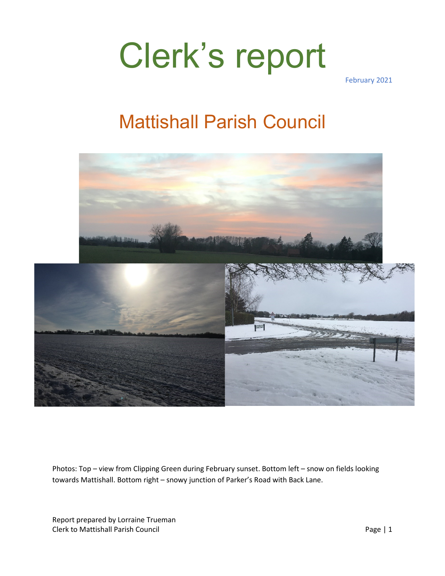February 2021

#### Mattishall Parish Council



Photos: Top – view from Clipping Green during February sunset. Bottom left – snow on fields looking towards Mattishall. Bottom right – snowy junction of Parker's Road with Back Lane.

Report prepared by Lorraine Trueman Clerk to Mattishall Parish Council **Page | 1**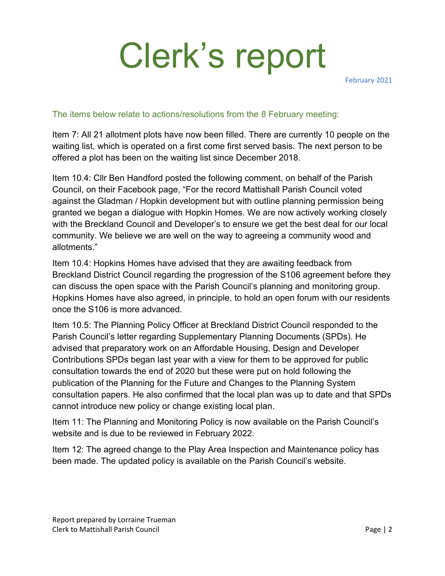February 2021

#### The items below relate to actions/resolutions from the 8 February meeting:

Item 7: All 21 allotment plots have now been filled. There are currently 10 people on the waiting list, which is operated on a first come first served basis. The next person to be offered a plot has been on the waiting list since December 2018.

Item 10.4: Cllr Ben Handford posted the following comment, on behalf of the Parish Council, on their Facebook page, "For the record Mattishall Parish Council voted against the Gladman / Hopkin development but with outline planning permission being granted we began a dialogue with Hopkin Homes. We are now actively working closely with the Breckland Council and Developer's to ensure we get the best deal for our local community. We believe we are well on the way to agreeing a community wood and allotments."

Item 10.4: Hopkins Homes have advised that they are awaiting feedback from Breckland District Council regarding the progression of the S106 agreement before they can discuss the open space with the Parish Council's planning and monitoring group. Hopkins Homes have also agreed, in principle, to hold an open forum with our residents once the S106 is more advanced.

Item 10.5: The Planning Policy Officer at Breckland District Council responded to the Parish Council's letter regarding Supplementary Planning Documents (SPDs). He advised that preparatory work on an Affordable Housing, Design and Developer Contributions SPDs began last year with a view for them to be approved for public consultation towards the end of 2020 but these were put on hold following the publication of the Planning for the Future and Changes to the Planning System consultation papers. He also confirmed that the local plan was up to date and that SPDs cannot introduce new policy or change existing local plan.

Item 11: The Planning and Monitoring Policy is now available on the Parish Council's website and is due to be reviewed in February 2022.

Item 12: The agreed change to the Play Area Inspection and Maintenance policy has been made. The updated policy is available on the Parish Council's website.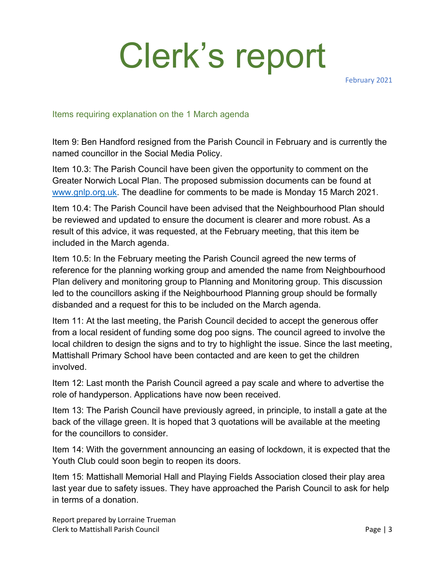February 2021

#### Items requiring explanation on the 1 March agenda

Item 9: Ben Handford resigned from the Parish Council in February and is currently the named councillor in the Social Media Policy.

Item 10.3: The Parish Council have been given the opportunity to comment on the Greater Norwich Local Plan. The proposed submission documents can be found at [www.gnlp.org.uk.](http://www.gnlp.org.uk/) The deadline for comments to be made is Monday 15 March 2021.

Item 10.4: The Parish Council have been advised that the Neighbourhood Plan should be reviewed and updated to ensure the document is clearer and more robust. As a result of this advice, it was requested, at the February meeting, that this item be included in the March agenda.

Item 10.5: In the February meeting the Parish Council agreed the new terms of reference for the planning working group and amended the name from Neighbourhood Plan delivery and monitoring group to Planning and Monitoring group. This discussion led to the councillors asking if the Neighbourhood Planning group should be formally disbanded and a request for this to be included on the March agenda.

Item 11: At the last meeting, the Parish Council decided to accept the generous offer from a local resident of funding some dog poo signs. The council agreed to involve the local children to design the signs and to try to highlight the issue. Since the last meeting, Mattishall Primary School have been contacted and are keen to get the children involved.

Item 12: Last month the Parish Council agreed a pay scale and where to advertise the role of handyperson. Applications have now been received.

Item 13: The Parish Council have previously agreed, in principle, to install a gate at the back of the village green. It is hoped that 3 quotations will be available at the meeting for the councillors to consider.

Item 14: With the government announcing an easing of lockdown, it is expected that the Youth Club could soon begin to reopen its doors.

Item 15: Mattishall Memorial Hall and Playing Fields Association closed their play area last year due to safety issues. They have approached the Parish Council to ask for help in terms of a donation.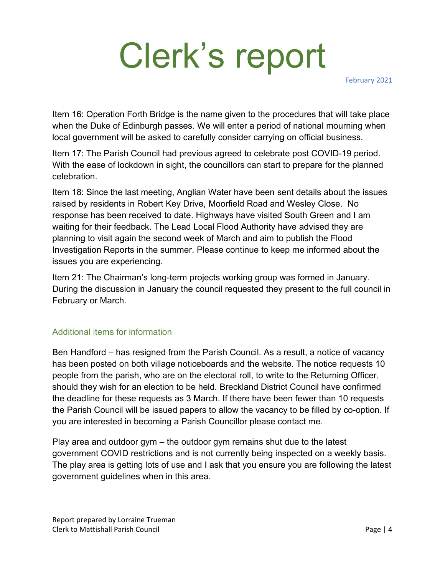February 2021

Item 16: Operation Forth Bridge is the name given to the procedures that will take place when the Duke of Edinburgh passes. We will enter a period of national mourning when local government will be asked to carefully consider carrying on official business.

Item 17: The Parish Council had previous agreed to celebrate post COVID-19 period. With the ease of lockdown in sight, the councillors can start to prepare for the planned celebration.

Item 18: Since the last meeting, Anglian Water have been sent details about the issues raised by residents in Robert Key Drive, Moorfield Road and Wesley Close. No response has been received to date. Highways have visited South Green and I am waiting for their feedback. The Lead Local Flood Authority have advised they are planning to visit again the second week of March and aim to publish the Flood Investigation Reports in the summer. Please continue to keep me informed about the issues you are experiencing.

Item 21: The Chairman's long-term projects working group was formed in January. During the discussion in January the council requested they present to the full council in February or March.

#### Additional items for information

Ben Handford – has resigned from the Parish Council. As a result, a notice of vacancy has been posted on both village noticeboards and the website. The notice requests 10 people from the parish, who are on the electoral roll, to write to the Returning Officer, should they wish for an election to be held. Breckland District Council have confirmed the deadline for these requests as 3 March. If there have been fewer than 10 requests the Parish Council will be issued papers to allow the vacancy to be filled by co-option. If you are interested in becoming a Parish Councillor please contact me.

Play area and outdoor gym – the outdoor gym remains shut due to the latest government COVID restrictions and is not currently being inspected on a weekly basis. The play area is getting lots of use and I ask that you ensure you are following the latest government guidelines when in this area.